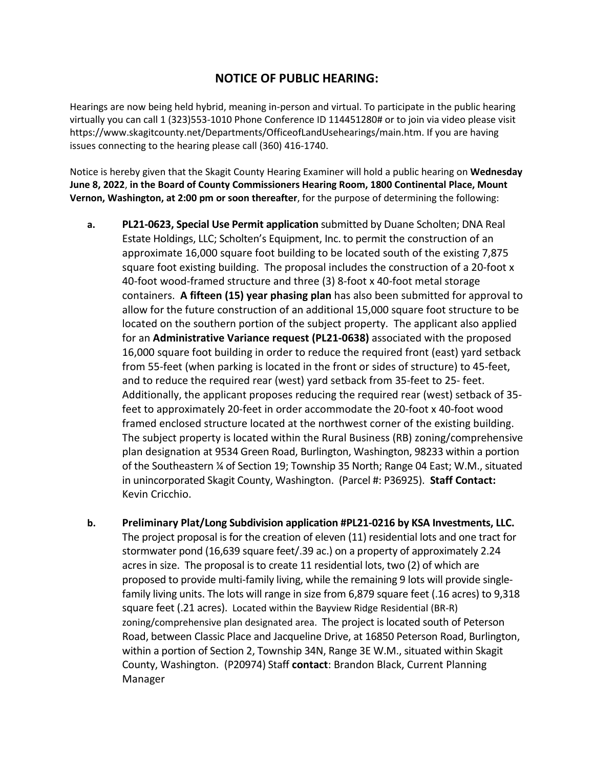## **NOTICE OF PUBLIC HEARING:**

Hearings are now being held hybrid, meaning in-person and virtual. To participate in the public hearing virtually you can call 1 (323)553-1010 Phone Conference ID 114451280# or to join via video please visit https://www.skagitcounty.net/Departments/OfficeofLandUsehearings/main.htm. If you are having issues connecting to the hearing please call (360) 416-1740.

Notice is hereby given that the Skagit County Hearing Examiner will hold a public hearing on **Wednesday June 8, 2022**, **in the Board of County Commissioners Hearing Room, 1800 Continental Place, Mount Vernon, Washington, at 2:00 pm or soon thereafter**, for the purpose of determining the following:

- **a. PL21-0623, Special Use Permit application** submitted by Duane Scholten; DNA Real Estate Holdings, LLC; Scholten's Equipment, Inc. to permit the construction of an approximate 16,000 square foot building to be located south of the existing 7,875 square foot existing building. The proposal includes the construction of a 20-foot x 40-foot wood-framed structure and three (3) 8-foot x 40-foot metal storage containers. **A fifteen (15) year phasing plan** has also been submitted for approval to allow for the future construction of an additional 15,000 square foot structure to be located on the southern portion of the subject property. The applicant also applied for an **Administrative Variance request (PL21-0638)** associated with the proposed 16,000 square foot building in order to reduce the required front (east) yard setback from 55-feet (when parking is located in the front or sides of structure) to 45-feet, and to reduce the required rear (west) yard setback from 35-feet to 25- feet. Additionally, the applicant proposes reducing the required rear (west) setback of 35 feet to approximately 20-feet in order accommodate the 20-foot x 40-foot wood framed enclosed structure located at the northwest corner of the existing building. The subject property is located within the Rural Business (RB) zoning/comprehensive plan designation at 9534 Green Road, Burlington, Washington, 98233 within a portion of the Southeastern ¼ of Section 19; Township 35 North; Range 04 East; W.M., situated in unincorporated Skagit County, Washington. (Parcel #: P36925). **Staff Contact:** Kevin Cricchio.
- **b. Preliminary Plat/Long Subdivision application #PL21-0216 by KSA Investments, LLC.** The project proposal is for the creation of eleven (11) residential lots and one tract for stormwater pond (16,639 square feet/.39 ac.) on a property of approximately 2.24 acres in size. The proposal is to create 11 residential lots, two (2) of which are proposed to provide multi-family living, while the remaining 9 lots will provide singlefamily living units. The lots will range in size from 6,879 square feet (.16 acres) to 9,318 square feet (.21 acres). Located within the Bayview Ridge Residential (BR-R) zoning/comprehensive plan designated area. The project is located south of Peterson Road, between Classic Place and Jacqueline Drive, at 16850 Peterson Road, Burlington, within a portion of Section 2, Township 34N, Range 3E W.M., situated within Skagit County, Washington. (P20974) Staff **contact**: Brandon Black, Current Planning Manager